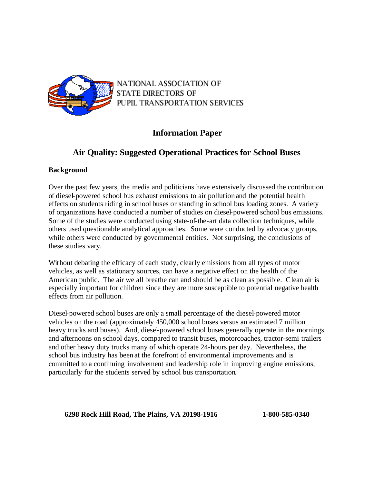

NATIONAL ASSOCIATION OF **STATE DIRECTORS OF** PUPIL TRANSPORTATION SERVICES

# **Information Paper**

# **Air Quality: Suggested Operational Practices for School Buses**

## **Background**

Over the past few years, the media and politicians have extensive ly discussed the contribution of diesel-powered school bus exhaust emissions to air pollution and the potential health effects on students riding in school buses or standing in school bus loading zones. A variety of organizations have conducted a number of studies on diesel-powered school bus emissions. Some of the studies were conducted using state-of-the-art data collection techniques, while others used questionable analytical approaches. Some were conducted by advocacy groups, while others were conducted by governmental entities. Not surprising, the conclusions of these studies vary.

Without debating the efficacy of each study, clearly emissions from all types of motor vehicles, as well as stationary sources, can have a negative effect on the health of the American public. The air we all breathe can and should be as clean as possible. Clean air is especially important for children since they are more susceptible to potential negative health effects from air pollution.

Diesel-powered school buses are only a small percentage of the diesel-powered motor vehicles on the road (approximately 450,000 school buses versus an estimated 7 million heavy trucks and buses). And, diesel-powered school buses generally operate in the mornings and afternoons on school days, compared to transit buses, motorcoaches, tractor-semi trailers and other heavy duty trucks many of which operate 24-hours per day. Nevertheless, the school bus industry has been at the forefront of environmental improvements and is committed to a continuing involvement and leadership role in improving engine emissions, particularly for the students served by school bus transportation.

## **6298 Rock Hill Road, The Plains, VA 20198-1916 1-800-585-0340**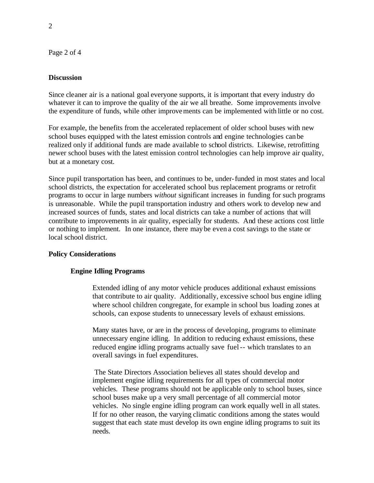Page 2 of 4

### **Discussion**

Since cleaner air is a national goal everyone supports, it is important that every industry do whatever it can to improve the quality of the air we all breathe. Some improvements involve the expenditure of funds, while other improvements can be implemented with little or no cost.

For example, the benefits from the accelerated replacement of older school buses with new school buses equipped with the latest emission controls and engine technologies can be realized only if additional funds are made available to school districts. Likewise, retrofitting newer school buses with the latest emission control technologies can help improve air quality, but at a monetary cost.

Since pupil transportation has been, and continues to be, under-funded in most states and local school districts, the expectation for accelerated school bus replacement programs or retrofit programs to occur in large numbers *without* significant increases in funding for such programs is unreasonable. While the pupil transportation industry and others work to develop new and increased sources of funds, states and local districts can take a number of actions that will contribute to improvements in air quality, especially for students. And these actions cost little or nothing to implement. In one instance, there maybe even a cost savings to the state or local school district.

## **Policy Considerations**

## **Engine Idling Programs**

Extended idling of any motor vehicle produces additional exhaust emissions that contribute to air quality. Additionally, excessive school bus engine idling where school children congregate, for example in school bus loading zones at schools, can expose students to unnecessary levels of exhaust emissions.

Many states have, or are in the process of developing, programs to eliminate unnecessary engine idling. In addition to reducing exhaust emissions, these reduced engine idling programs actually save fuel-- which translates to an overall savings in fuel expenditures.

 The State Directors Association believes all states should develop and implement engine idling requirements for all types of commercial motor vehicles. These programs should not be applicable only to school buses, since school buses make up a very small percentage of all commercial motor vehicles. No single engine idling program can work equally well in all states. If for no other reason, the varying climatic conditions among the states would suggest that each state must develop its own engine idling programs to suit its needs.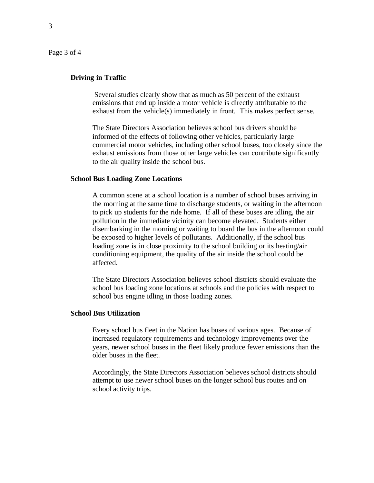Page 3 of 4

### **Driving in Traffic**

Several studies clearly show that as much as 50 percent of the exhaust emissions that end up inside a motor vehicle is directly attributable to the exhaust from the vehicle(s) immediately in front. This makes perfect sense.

The State Directors Association believes school bus drivers should be informed of the effects of following other vehicles, particularly large commercial motor vehicles, including other school buses, too closely since the exhaust emissions from those other large vehicles can contribute significantly to the air quality inside the school bus.

#### **School Bus Loading Zone Locations**

A common scene at a school location is a number of school buses arriving in the morning at the same time to discharge students, or waiting in the afternoon to pick up students for the ride home. If all of these buses are idling, the air pollution in the immediate vicinity can become elevated. Students either disembarking in the morning or waiting to board the bus in the afternoon could be exposed to higher levels of pollutants. Additionally, if the school bus loading zone is in close proximity to the school building or its heating/air conditioning equipment, the quality of the air inside the school could be affected.

The State Directors Association believes school districts should evaluate the school bus loading zone locations at schools and the policies with respect to school bus engine idling in those loading zones.

### **School Bus Utilization**

Every school bus fleet in the Nation has buses of various ages. Because of increased regulatory requirements and technology improvements over the years, newer school buses in the fleet likely produce fewer emissions than the older buses in the fleet.

Accordingly, the State Directors Association believes school districts should attempt to use newer school buses on the longer school bus routes and on school activity trips.